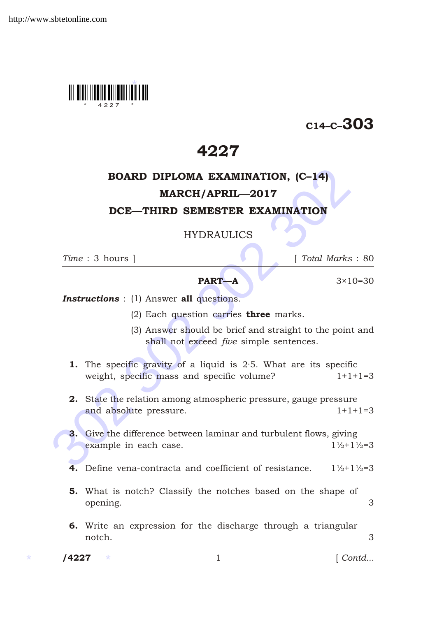

## C14–C–303

## 4227

# BOARD DIPLOMA EXAMINATION, (C–14)

## MARCH/APRIL—2017

#### DCE—THIRD SEMESTER EXAMINATION

### HYDRAULICS

*Time* : 3 hours ] [ *Total Marks* : 80

#### **PART—A**  $3 \times 10 = 30$

**Instructions** : (1) Answer all questions.

- (2) Each question carries **three** marks.
- (3) Answer should be brief and straight to the point and shall not exceed *five* simple sentences.
- **1.** The specific gravity of a liquid is  $2.5$ . What are its specific weight, specific mass and specific volume? 1+1+1=3
- 2. State the relation among atmospheric pressure, gauge pressure and absolute pressure. 1+1+1=3
- **BOARD DIPLOMA EXAMINATION, (C-14)**<br> **MARCH/APRIL—2017**<br> **DCE—THIRD SEMESTER EXAMINATION**<br>
HYDRAULICS<br>
Time : 3 hours ]<br> **EXECUTE:**<br> **PART—A**<br> **ITALE MART-A**<br> **ITALE MART-A**<br> **ITALE MART-A**<br> **ITALE MART-A**<br> **ITALE MART-A** 3. Give the difference between laminar and turbulent flows, giving example in each case.  $1\frac{1}{2}+1\frac{1}{2}=3$ 
	- 4. Define vena-contracta and coefficient of resistance.  $1\frac{1}{2}+1\frac{1}{2}=3$
	- 5. What is notch? Classify the notches based on the shape of opening. 3
	- 6. Write an expression for the discharge through a triangular notch. 3
	- /4227

1 *Contd...*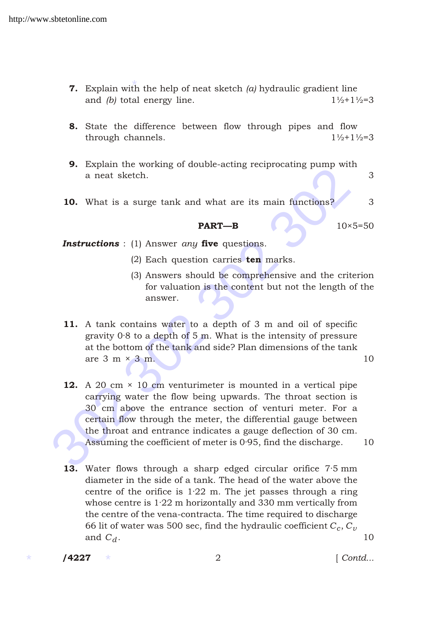- **7.** Explain with the help of neat sketch *(a)* hydraulic gradient line and *(b)* total energy line.  $1\frac{1}{2}+1\frac{1}{2}=3$
- 8. State the difference between flow through pipes and flow through channels.  $1\frac{1}{2}+1\frac{1}{2}=3$
- 9. Explain the working of double-acting reciprocating pump with a neat sketch. 3
- **10.** What is a surge tank and what are its main functions? 3

#### **PART—B** 10×5=50

*Instructions* : (1) Answer *any* five questions.

- (2) Each question carries  $ten$  marks.
- (3) Answers should be comprehensive and the criterion for valuation is the content but not the length of the answer.
- 11. A tank contains water to a depth of 3 m and oil of specific gravity 0·8 to a depth of 5 m. What is the intensity of pressure at the bottom of the tank and side? Plan dimensions of the tank are  $3 \text{ m} \times 3 \text{ m}$ . 10
- **Example 10**<br>
a neat sketch.<br> **Example 10**<br>
a neat sketch.<br> **EXAMPLE 10**<br> **EXAMPLE 10**<br> **EXAMPLE 10**<br> **EXAMPLE 10**<br> **EXAMPLE 10**<br> **EXAMPLE 10**<br>
10×5<br> **EXAMPLE 10**<br>
10×5<br> **EXAMPLE 10**<br>
10×5<br> **EXAMPLE 10**<br>
(2) Each question **12.** A 20 cm  $\times$  10 cm venturimeter is mounted in a vertical pipe carrying water the flow being upwards. The throat section is 30 cm above the entrance section of venturi meter. For a certain flow through the meter, the differential gauge between the throat and entrance indicates a gauge deflection of 30 cm. Assuming the coefficient of meter is  $0.95$ , find the discharge.  $10$ 
	- 13. Water flows through a sharp edged circular orifice 7.5 mm diameter in the side of a tank. The head of the water above the centre of the orifice is 1·22 m. The jet passes through a ring whose centre is 1·22 m horizontally and 330 mm vertically from the centre of the vena-contracta. The time required to discharge 66 lit of water was 500 sec, find the hydraulic coefficient  $C_c,C_\nu$ and  $C_d$ . 10

/4227

/4227 2 [ *Contd...*